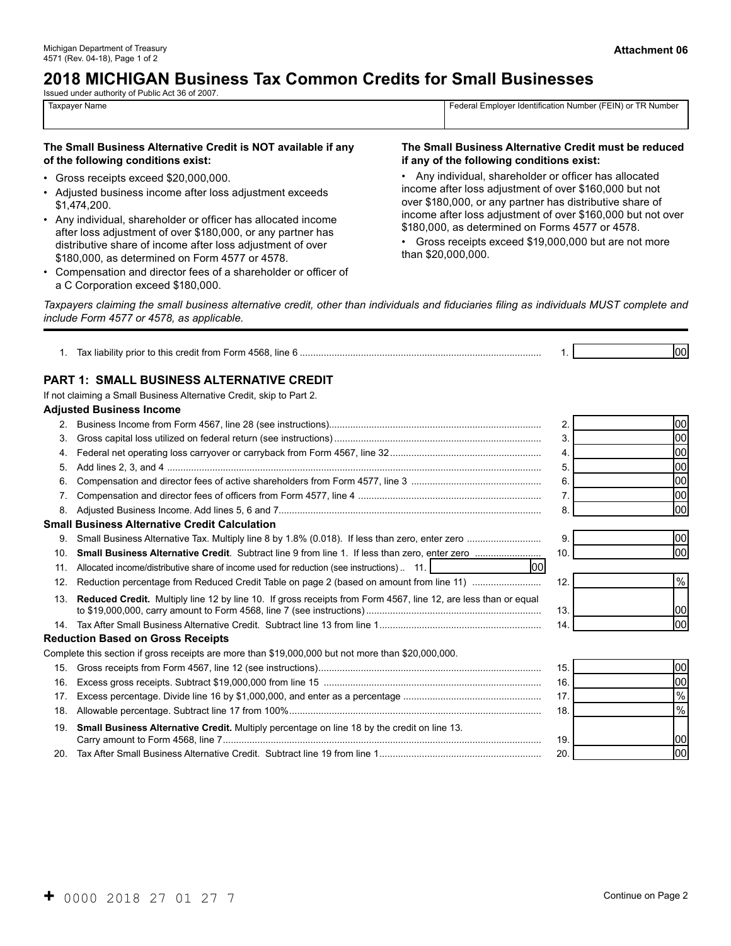# **2018 MICHIGAN Business Tax Common Credits for Small Businesses**

Issued under authority of Public Act 36 of 2007.

4571 (Rev. 04-18), Page 1 of 2

Taxpayer Name Federal Employer Identification Number (FEIN) or TR Number

#### **The Small Business Alternative Credit is NOT available if any The Small Business Alternative Credit must be reduced of the following conditions exist: if any of the following conditions exist:**

- 
- 
- Adjusted business income after loss adjustment exceeds<br>
\$1,474,200.<br>
 Any individual, shareholder or officer has allocated income<br>
after loss adjustment of over \$160,000 but not over<br>
after loss adjustment of over \$160,
- Compensation and director fees of a shareholder or officer of a C Corporation exceed \$180,000.

• Gross receipts exceed \$20,000,000.<br>• Any individual, shareholder or officer has allocated<br>• Adjusted business income after loss adjustment exceeds<br>• Adjusted business income after loss adjustment of over \$160,000 but not

*Taxpayers claiming the small business alternative credit, other than individuals and fiduciaries filing as individuals MUST complete and include Form 4577 or 4578, as applicable.* 

| 1.              |                                                                                                                |     | loo           |
|-----------------|----------------------------------------------------------------------------------------------------------------|-----|---------------|
|                 | PART 1: SMALL BUSINESS ALTERNATIVE CREDIT                                                                      |     |               |
|                 | If not claiming a Small Business Alternative Credit, skip to Part 2.                                           |     |               |
|                 | <b>Adjusted Business Income</b>                                                                                |     |               |
| 2.              |                                                                                                                | 2.  | 00            |
| 3.              |                                                                                                                | 3.  | 00            |
| 4.              |                                                                                                                | 4.  | loo           |
| 5.              |                                                                                                                | 5.  | loo           |
| 6.              |                                                                                                                | 6.  | loo           |
| 7 <sub>1</sub>  |                                                                                                                | 7.  | 00            |
| 8.              |                                                                                                                | 8.  | loo           |
|                 | <b>Small Business Alternative Credit Calculation</b>                                                           |     |               |
| 9.              |                                                                                                                | 9.  | 00            |
| 10.             |                                                                                                                | 10. | loo           |
| 11.             | lool<br>Allocated income/distributive share of income used for reduction (see instructions). 11.               |     |               |
| 12.             |                                                                                                                | 12. | $\frac{9}{6}$ |
| 13.             | Reduced Credit. Multiply line 12 by line 10. If gross receipts from Form 4567, line 12, are less than or equal | 13. | 100           |
| 14.             |                                                                                                                | 14. | loo           |
|                 | <b>Reduction Based on Gross Receipts</b>                                                                       |     |               |
|                 | Complete this section if gross receipts are more than \$19,000,000 but not more than \$20,000,000.             |     |               |
| 15.             |                                                                                                                | 15. | 00            |
| 16.             |                                                                                                                | 16. | 00            |
| 17 <sub>1</sub> |                                                                                                                | 17. | $\%$          |
| 18.             |                                                                                                                | 18. | $\frac{9}{6}$ |
| 19.             | Small Business Alternative Credit. Multiply percentage on line 18 by the credit on line 13.                    | 19. | 100           |
| 20.             |                                                                                                                | 20  | loo           |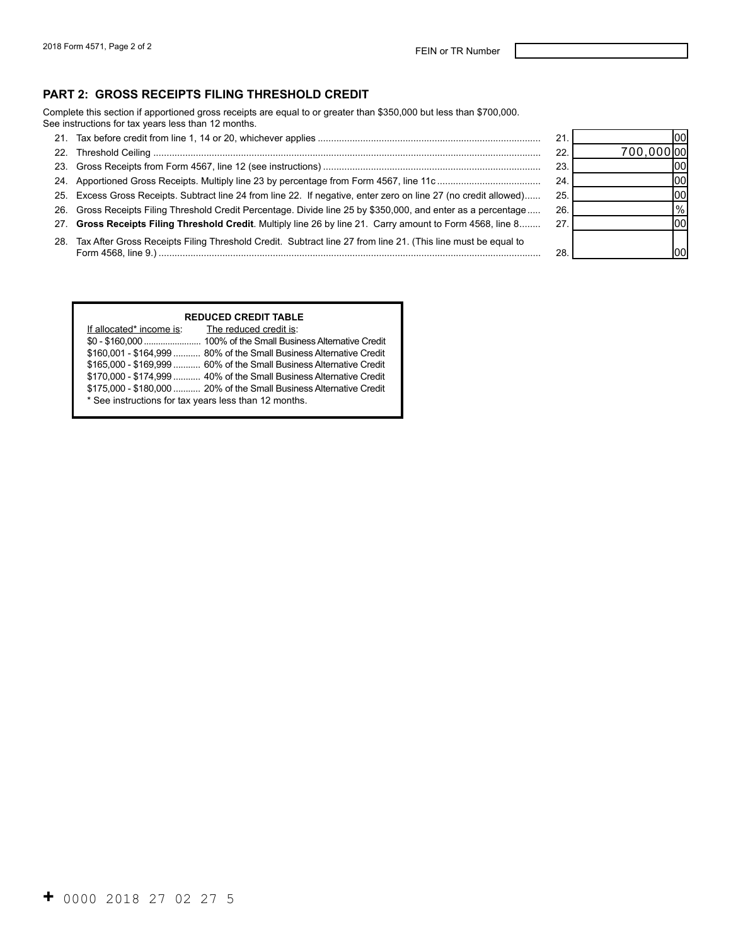#### **PART 2: GROSS RECEIPTS FILING THRESHOLD CREDIT**

Complete this section if apportioned gross receipts are equal to or greater than \$350,000 but less than \$700,000. See instructions for tax years less than 12 months.

21. Tax before credit from line 1, 14 or 20, whichever applies .................................................................................... 21. 22. Threshold Ceiling .................................................................................................................................................. 22. 23. Gross Receipts from Form 4567, line 12 (see instructions) .................................................................................. 23. 24. Apportioned Gross Receipts. Multiply line 23 by percentage from Form 4567, line 11c ....................................... 24. 25. Excess Gross Receipts. Subtract line 24 from line 22. If negative, enter zero on line 27 (no credit allowed)...... 25. 26. Gross Receipts Filing Threshold Credit Percentage. Divide line 25 by \$350,000, and enter as a percentage..... 26. 27. **Gross Receipts Filing Threshold Credit**. Multiply line 26 by line 21. Carry amount to Form 4568, line 8........ 27. 28. Tax After Gross Receipts Filing Threshold Credit. Subtract line 27 from line 21. (This line must be equal to Form 4568, line 9.) ................................................................................................................................................ 28. 00 700,000 00 00 00 00 % 00 00

#### **REDUCED CREDIT TABLE**

| If allocated* income is:                              | The reduced credit is:                                              |  |  |  |
|-------------------------------------------------------|---------------------------------------------------------------------|--|--|--|
|                                                       |                                                                     |  |  |  |
|                                                       | \$160,001 - \$164,999  80% of the Small Business Alternative Credit |  |  |  |
|                                                       | \$165,000 - \$169,999  60% of the Small Business Alternative Credit |  |  |  |
|                                                       | \$170,000 - \$174,999  40% of the Small Business Alternative Credit |  |  |  |
|                                                       | \$175,000 - \$180,000  20% of the Small Business Alternative Credit |  |  |  |
| * See instructions for tax years less than 12 months. |                                                                     |  |  |  |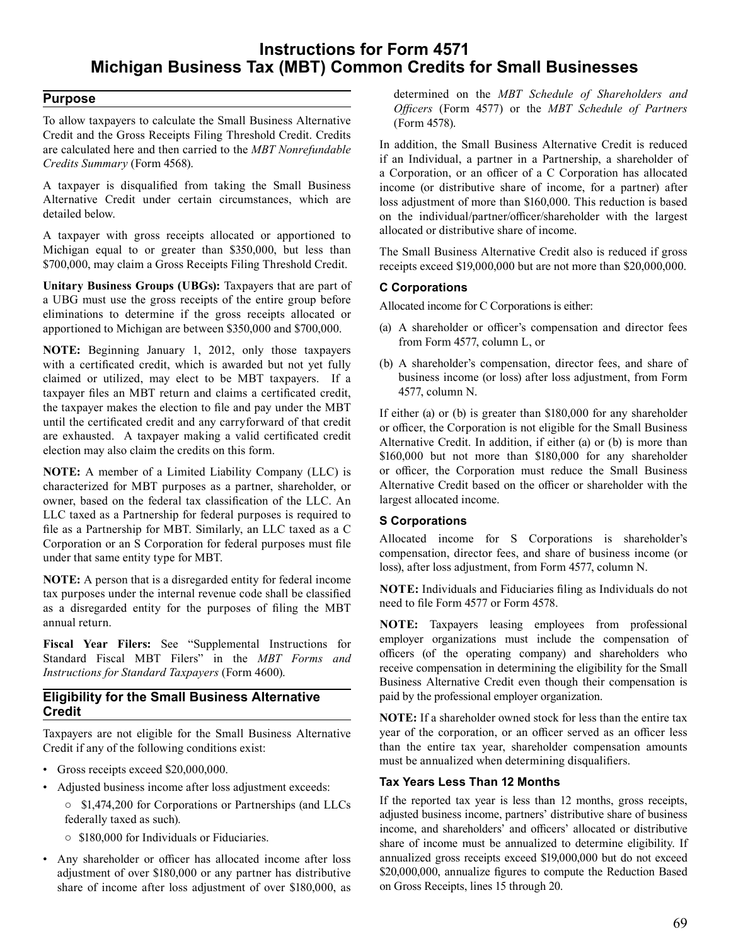# **Instructions for Form 4571 Michigan Business Tax (MBT) Common Credits for Small Businesses**

# **Purpose**

 To allow taxpayers to calculate the Small Business Alternative Credit and the Gross Receipts Filing Threshold Credit. Credits are calculated here and then carried to the *MBT Nonrefundable Credits Summary* (Form 4568).

 A taxpayer is disqualified from taking the Small Business Alternative Credit under certain circumstances, which are detailed below.

 A taxpayer with gross receipts allocated or apportioned to Michigan equal to or greater than \$350,000, but less than \$700,000, may claim a Gross Receipts Filing Threshold Credit.

 **Unitary Business Groups (UBGs):** Taxpayers that are part of a UBG must use the gross receipts of the entire group before eliminations to determine if the gross receipts allocated or apportioned to Michigan are between \$350,000 and \$700,000.

 **NOTE:** Beginning January 1, 2012, only those taxpayers with a certificated credit, which is awarded but not yet fully claimed or utilized, may elect to be MBT taxpayers. If a taxpayer files an MBT return and claims a certificated credit, the taxpayer makes the election to file and pay under the MBT until the certificated credit and any carryforward of that credit are exhausted. A taxpayer making a valid certificated credit election may also claim the credits on this form.

 **NOTE:** A member of a Limited Liability Company (LLC) is characterized for MBT purposes as a partner, shareholder, or owner, based on the federal tax classification of the LLC. An LLC taxed as a Partnership for federal purposes is required to file as a Partnership for MBT. Similarly, an LLC taxed as a C Corporation or an S Corporation for federal purposes must file under that same entity type for MBT.

 **NOTE:** A person that is a disregarded entity for federal income tax purposes under the internal revenue code shall be classified as a disregarded entity for the purposes of filing the MBT annual return.

 **Fiscal Year Filers:** See "Supplemental Instructions for Standard Fiscal MBT Filers" in the *MBT Forms and Instructions for Standard Taxpayers* (Form 4600).

# **Eligibility for the Small Business Alternative Credit**

 Taxpayers are not eligible for the Small Business Alternative Credit if any of the following conditions exist:

- Gross receipts exceed \$20,000,000.
- Adjusted business income after loss adjustment exceeds:
	- \$1,474,200 for Corporations or Partnerships (and LLCs federally taxed as such).
	- \$180,000 for Individuals or Fiduciaries.
- Any shareholder or officer has allocated income after loss adjustment of over \$180,000 or any partner has distributive share of income after loss adjustment of over \$180,000, as

 determined on the *MBT Schedule of Shareholders and Officers* (Form 4577) or the *MBT Schedule of Partners*  (Form 4578).

 In addition, the Small Business Alternative Credit is reduced if an Individual, a partner in a Partnership, a shareholder of a Corporation, or an officer of a C Corporation has allocated income (or distributive share of income, for a partner) after loss adjustment of more than \$160,000. This reduction is based on the individual/partner/officer/shareholder with the largest allocated or distributive share of income.

 The Small Business Alternative Credit also is reduced if gross receipts exceed \$19,000,000 but are not more than \$20,000,000.

### **C Corporations**

 Allocated income for C Corporations is either:

- (a) A shareholder or officer's compensation and director fees from Form 4577, column L, or
- (b) A shareholder's compensation, director fees, and share of business income (or loss) after loss adjustment, from Form 4577, column N.

 If either (a) or (b) is greater than \$180,000 for any shareholder or officer, the Corporation is not eligible for the Small Business Alternative Credit. In addition, if either (a) or (b) is more than \$160,000 but not more than \$180,000 for any shareholder or officer, the Corporation must reduce the Small Business Alternative Credit based on the officer or shareholder with the largest allocated income.

# **S Corporations**

 Allocated income for S Corporations is shareholder's compensation, director fees, and share of business income (or loss), after loss adjustment, from Form 4577, column N.

 **NOTE:** Individuals and Fiduciaries filing as Individuals do not need to file Form 4577 or Form 4578.

 **NOTE:** Taxpayers leasing employees from professional employer organizations must include the compensation of officers (of the operating company) and shareholders who receive compensation in determining the eligibility for the Small Business Alternative Credit even though their compensation is paid by the professional employer organization.

 **NOTE:** If a shareholder owned stock for less than the entire tax year of the corporation, or an officer served as an officer less than the entire tax year, shareholder compensation amounts must be annualized when determining disqualifiers.

#### **Tax Years Less Than 12 Months**

 If the reported tax year is less than 12 months, gross receipts, adjusted business income, partners' distributive share of business income, and shareholders' and officers' allocated or distributive share of income must be annualized to determine eligibility. If annualized gross receipts exceed \$19,000,000 but do not exceed \$20,000,000, annualize figures to compute the Reduction Based on Gross Receipts, lines 15 through 20.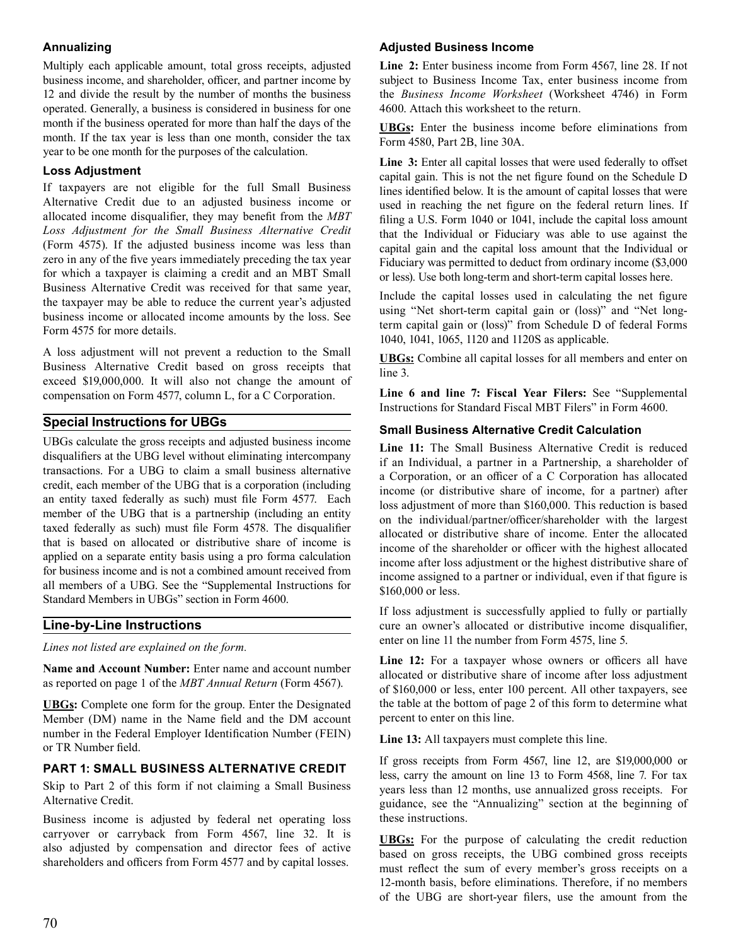# **Annualizing**

 Multiply each applicable amount, total gross receipts, adjusted business income, and shareholder, officer, and partner income by 12 and divide the result by the number of months the business operated. Generally, a business is considered in business for one month if the business operated for more than half the days of the month. If the tax year is less than one month, consider the tax year to be one month for the purposes of the calculation.

# **Loss Adjustment**

 If taxpayers are not eligible for the full Small Business Alternative Credit due to an adjusted business income or allocated income disqualifier, they may benefit from the *MBT*  (Form 4575). If the adjusted business income was less than zero in any of the five years immediately preceding the tax year for which a taxpayer is claiming a credit and an MBT Small Business Alternative Credit was received for that same year, the taxpayer may be able to reduce the current year's adjusted business income or allocated income amounts by the loss. See Form 4575 for more details. *Loss Adjustment for the Small Business Alternative Credit*

 A loss adjustment will not prevent a reduction to the Small Business Alternative Credit based on gross receipts that exceed \$19,000,000. It will also not change the amount of compensation on Form 4577, column L, for a C Corporation.

# **Special Instructions for UBGs**

 UBGs calculate the gross receipts and adjusted business income disqualifiers at the UBG level without eliminating intercompany transactions. For a UBG to claim a small business alternative credit, each member of the UBG that is a corporation (including an entity taxed federally as such) must file Form 4577. Each member of the UBG that is a partnership (including an entity taxed federally as such) must file Form 4578. The disqualifier that is based on allocated or distributive share of income is applied on a separate entity basis using a pro forma calculation for business income and is not a combined amount received from all members of a UBG. See the "Supplemental Instructions for Standard Members in UBGs" section in Form 4600.

# **Line-by-Line Instructions**

*Lines not listed are explained on the form.* 

 **Name and Account Number:** Enter name and account number as reported on page 1 of the *MBT Annual Return* (Form 4567).

 **UBGs:** Complete one form for the group. Enter the Designated Member (DM) name in the Name field and the DM account number in the Federal Employer Identification Number (FEIN) or TR Number field.

# **PART 1: SMALL BUSINESS ALTERNATIVE CREDIT**

 Skip to Part 2 of this form if not claiming a Small Business Alternative Credit.

 Business income is adjusted by federal net operating loss carryover or carryback from Form 4567, line 32. It is also adjusted by compensation and director fees of active shareholders and officers from Form 4577 and by capital losses.

### **Adjusted Business Income**

 **Line 2:** Enter business income from Form 4567, line 28. If not subject to Business Income Tax, enter business income from the *Business Income Worksheet* (Worksheet 4746) in Form 4600. Attach this worksheet to the return.

 **UBGs:** Enter the business income before eliminations from Form 4580, Part 2B, line 30A.

 **Line 3:** Enter all capital losses that were used federally to offset capital gain. This is not the net figure found on the Schedule D lines identified below. It is the amount of capital losses that were used in reaching the net figure on the federal return lines. If filing a U.S. Form 1040 or 1041, include the capital loss amount that the Individual or Fiduciary was able to use against the capital gain and the capital loss amount that the Individual or Fiduciary was permitted to deduct from ordinary income (\$3,000 or less). Use both long-term and short-term capital losses here.

 Include the capital losses used in calculating the net figure using "Net short-term capital gain or (loss)" and "Net long- term capital gain or (loss)" from Schedule D of federal Forms 1040, 1041, 1065, 1120 and 1120S as applicable.

 **UBGs:** Combine all capital losses for all members and enter on line 3.

 **Line 6 and line 7: Fiscal Year Filers:** See "Supplemental Instructions for Standard Fiscal MBT Filers" in Form 4600.

### **Small Business Alternative Credit Calculation**

 **Line 11:** The Small Business Alternative Credit is reduced if an Individual, a partner in a Partnership, a shareholder of a Corporation, or an officer of a C Corporation has allocated income (or distributive share of income, for a partner) after loss adjustment of more than \$160,000. This reduction is based on the individual/partner/officer/shareholder with the largest allocated or distributive share of income. Enter the allocated income of the shareholder or officer with the highest allocated income assigned to a partner or individual, even if that figure is \$160,000 or less. income after loss adjustment or the highest distributive share of

 If loss adjustment is successfully applied to fully or partially cure an owner's allocated or distributive income disqualifier, enter on line 11 the number from Form 4575, line 5.

 **Line 12:** For a taxpayer whose owners or officers all have allocated or distributive share of income after loss adjustment of \$160,000 or less, enter 100 percent. All other taxpayers, see the table at the bottom of page 2 of this form to determine what percent to enter on this line.

 **Line 13:** All taxpayers must complete this line.

 If gross receipts from Form 4567, line 12, are \$19,000,000 or less, carry the amount on line 13 to Form 4568, line 7. For tax years less than 12 months, use annualized gross receipts. For guidance, see the "Annualizing" section at the beginning of these instructions.

 **UBGs:** For the purpose of calculating the credit reduction based on gross receipts, the UBG combined gross receipts must reflect the sum of every member's gross receipts on a 12-month basis, before eliminations. Therefore, if no members of the UBG are short-year filers, use the amount from the